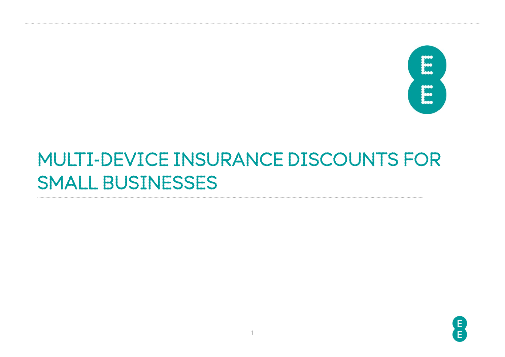

## MULTI-DEVICE INSURANCE DISCOUNTS FOR SMALL BUSINESSES